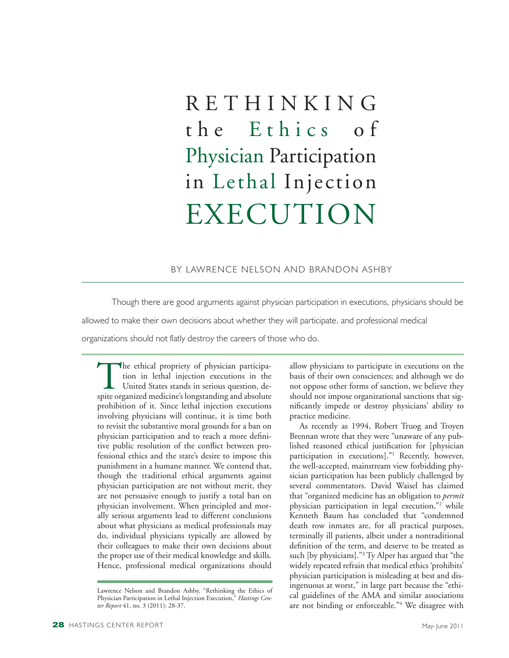# **RETHINKING** the Ethics of Physician Participation in Lethal Injection EXECUTION

## by LAWRENCE NELSON and BRANDON ASHBY

Though there are good arguments against physician participation in executions, physicians should be

allowed to make their own decisions about whether they will participate, and professional medical

organizations should not flatly destroy the careers of those who do.

The ethical propriety of physician participa-<br>tion in lethal injection executions in the<br>United States stands in serious question, de-<br>spite organized medicine's longstanding and absolute tion in lethal injection executions in the United States stands in serious question, despite organized medicine's longstanding and absolute prohibition of it. Since lethal injection executions involving physicians will continue, it is time both to revisit the substantive moral grounds for a ban on physician participation and to reach a more definitive public resolution of the conflict between professional ethics and the state's desire to impose this punishment in a humane manner. We contend that, though the traditional ethical arguments against physician participation are not without merit, they are not persuasive enough to justify a total ban on physician involvement. When principled and morally serious arguments lead to different conclusions about what physicians as medical professionals may do, individual physicians typically are allowed by their colleagues to make their own decisions about the proper use of their medical knowledge and skills. Hence, professional medical organizations should

allow physicians to participate in executions on the basis of their own consciences; and although we do not oppose other forms of sanction, we believe they should not impose organizational sanctions that significantly impede or destroy physicians' ability to practice medicine.

As recently as 1994, Robert Truog and Troyen Brennan wrote that they were "unaware of any published reasoned ethical justification for [physician participation in executions]."<sup>1</sup> Recently, however, the well-accepted, mainstream view forbidding physician participation has been publicly challenged by several commentators. David Waisel has claimed that "organized medicine has an obligation to *permit*  physician participation in legal execution,"2 while Kenneth Baum has concluded that "condemned death row inmates are, for all practical purposes, terminally ill patients, albeit under a nontraditional definition of the term, and deserve to be treated as such [by physicians]."3 Ty Alper has argued that "the widely repeated refrain that medical ethics 'prohibits' physician participation is misleading at best and disingenuous at worst," in large part because the "ethical guidelines of the AMA and similar associations are not binding or enforceable."<sup>4</sup> We disagree with

Lawrence Nelson and Brandon Ashby, "Rethinking the Ethics of Physician Participation in Lethal Injection Execution," *Hastings Center Report* 41, no. 3 (2011): 28-37.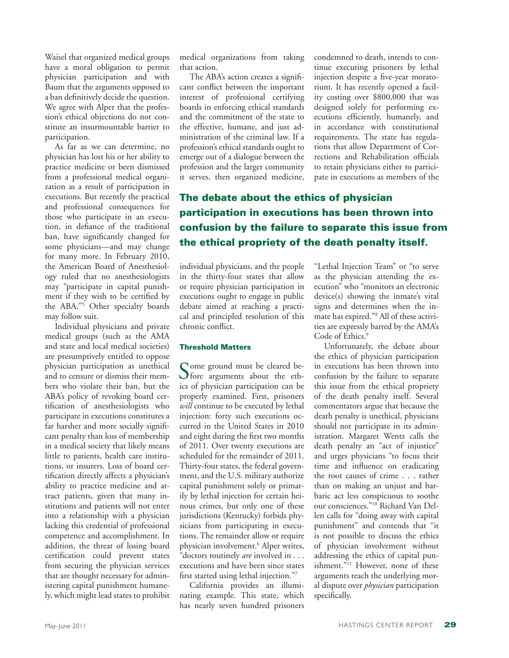Waisel that organized medical groups have a moral obligation to permit physician participation and with Baum that the arguments opposed to a ban definitively decide the question. We agree with Alper that the profession's ethical objections do not constitute an insurmountable barrier to participation.

As far as we can determine, no physician has lost his or her ability to practice medicine or been dismissed from a professional medical organization as a result of participation in executions. But recently the practical and professional consequences for those who participate in an execution, in defiance of the traditional ban, have significantly changed for some physicians—and may change for many more. In February 2010, the American Board of Anesthesiology ruled that no anesthesiologists may "participate in capital punishment if they wish to be certified by the ABA."5 Other specialty boards may follow suit.

Individual physicians and private medical groups (such as the AMA and state and local medical societies) are presumptively entitled to oppose physician participation as unethical and to censure or dismiss their members who violate their ban, but the ABA's policy of revoking board certification of anesthesiologists who participate in executions constitutes a far harsher and more socially significant penalty than loss of membership in a medical society that likely means little to patients, health care institutions, or insurers. Loss of board certification directly affects a physician's ability to practice medicine and attract patients, given that many institutions and patients will not enter into a relationship with a physician lacking this credential of professional competence and accomplishment. In addition, the threat of losing board certification could prevent states from securing the physician services that are thought necessary for administering capital punishment humanely, which might lead states to prohibit medical organizations from taking that action.

The ABA's action creates a significant conflict between the important interest of professional certifying boards in enforcing ethical standards and the commitment of the state to the effective, humane, and just administration of the criminal law. If a profession's ethical standards ought to emerge out of a dialogue between the profession and the larger community it serves, then organized medicine, condemned to death, intends to continue executing prisoners by lethal injection despite a five-year moratorium. It has recently opened a facility costing over \$800,000 that was designed solely for performing executions efficiently, humanely, and in accordance with constitutional requirements. The state has regulations that allow Department of Corrections and Rehabilitation officials to retain physicians either to participate in executions as members of the

# The debate about the ethics of physician participation in executions has been thrown into confusion by the failure to separate this issue from the ethical propriety of the death penalty itself.

individual physicians, and the people in the thirty-four states that allow or require physician participation in executions ought to engage in public debate aimed at reaching a practical and principled resolution of this chronic conflict.

### Threshold Matters

Come ground must be cleared be- $\bigcup$  fore arguments about the ethics of physician participation can be properly examined. First, prisoners *will* continue to be executed by lethal injection: forty such executions occurred in the United States in 2010 and eight during the first two months of 2011. Over twenty executions are scheduled for the remainder of 2011. Thirty-four states, the federal government, and the U.S. military authorize capital punishment solely or primarily by lethal injection for certain heinous crimes, but only one of these jurisdictions (Kentucky) forbids physicians from participating in executions. The remainder allow or require physician involvement.6 Alper writes, "doctors routinely *are* involved in . . . executions and have been since states first started using lethal injection."7

California provides an illuminating example. This state, which has nearly seven hundred prisoners

"Lethal Injection Team" or "to serve as the physician attending the execution" who "monitors an electronic device(s) showing the inmate's vital signs and determines when the inmate has expired."8 All of these activities are expressly barred by the AMA's Code of Ethics.<sup>9</sup>

Unfortunately, the debate about the ethics of physician participation in executions has been thrown into confusion by the failure to separate this issue from the ethical propriety of the death penalty itself. Several commentators argue that because the death penalty is unethical, physicians should not participate in its administration. Margaret Wentz calls the death penalty an "act of injustice" and urges physicians "to focus their time and influence on eradicating the root causes of crime . . . rather than on making an unjust and barbaric act less conspicuous to soothe our consciences."10 Richard Van Dellen calls for "doing away with capital punishment" and contends that "it is not possible to discuss the ethics of physician involvement without addressing the ethics of capital punishment."<sup>11</sup> However, none of these arguments reach the underlying moral dispute over *physician* participation specifically.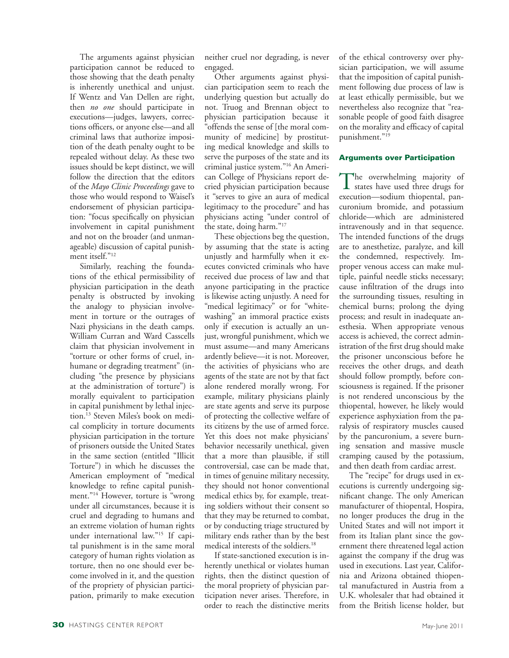The arguments against physician participation cannot be reduced to those showing that the death penalty is inherently unethical and unjust. If Wentz and Van Dellen are right, then *no one* should participate in executions—judges, lawyers, corrections officers, or anyone else—and all criminal laws that authorize imposition of the death penalty ought to be repealed without delay. As these two issues should be kept distinct, we will follow the direction that the editors of the *Mayo Clinic Proceedings* gave to those who would respond to Waisel's endorsement of physician participation: "focus specifically on physician involvement in capital punishment and not on the broader (and unmanageable) discussion of capital punishment itself."12

Similarly, reaching the foundations of the ethical permissibility of physician participation in the death penalty is obstructed by invoking the analogy to physician involvement in torture or the outrages of Nazi physicians in the death camps. William Curran and Ward Casscells claim that physician involvement in "torture or other forms of cruel, inhumane or degrading treatment" (including "the presence by physicians at the administration of torture") is morally equivalent to participation in capital punishment by lethal injection.13 Steven Miles's book on medical complicity in torture documents physician participation in the torture of prisoners outside the United States in the same section (entitled "Illicit Torture") in which he discusses the American employment of "medical knowledge to refine capital punishment."<sup>14</sup> However, torture is "wrong under all circumstances, because it is cruel and degrading to humans and an extreme violation of human rights under international law."15 If capital punishment is in the same moral category of human rights violation as torture, then no one should ever become involved in it, and the question of the propriety of physician participation, primarily to make execution

neither cruel nor degrading, is never engaged.

Other arguments against physician participation seem to reach the underlying question but actually do not. Truog and Brennan object to physician participation because it "offends the sense of [the moral community of medicine] by prostituting medical knowledge and skills to serve the purposes of the state and its criminal justice system."16 An American College of Physicians report decried physician participation because it "serves to give an aura of medical legitimacy to the procedure" and has physicians acting "under control of the state, doing harm."17

These objections beg the question, by assuming that the state is acting unjustly and harmfully when it executes convicted criminals who have received due process of law and that anyone participating in the practice is likewise acting unjustly. A need for "medical legitimacy" or for "whitewashing" an immoral practice exists only if execution is actually an unjust, wrongful punishment, which we must assume—and many Americans ardently believe—it is not. Moreover, the activities of physicians who are agents of the state are not by that fact alone rendered morally wrong. For example, military physicians plainly are state agents and serve its purpose of protecting the collective welfare of its citizens by the use of armed force. Yet this does not make physicians' behavior necessarily unethical, given that a more than plausible, if still controversial, case can be made that, in times of genuine military necessity, they should not honor conventional medical ethics by, for example, treating soldiers without their consent so that they may be returned to combat, or by conducting triage structured by military ends rather than by the best medical interests of the soldiers.<sup>18</sup>

If state-sanctioned execution is inherently unethical or violates human rights, then the distinct question of the moral propriety of physician participation never arises. Therefore, in order to reach the distinctive merits

of the ethical controversy over physician participation, we will assume that the imposition of capital punishment following due process of law is at least ethically permissible, but we nevertheless also recognize that "reasonable people of good faith disagree on the morality and efficacy of capital punishment."<sup>19</sup>

#### Arguments over Participation

The overwhelming majority of states have used three drugs for execution—sodium thiopental, pancuronium bromide, and potassium chloride—which are administered intravenously and in that sequence. The intended functions of the drugs are to anesthetize, paralyze, and kill the condemned, respectively. Improper venous access can make multiple, painful needle sticks necessary; cause infiltration of the drugs into the surrounding tissues, resulting in chemical burns; prolong the dying process; and result in inadequate anesthesia. When appropriate venous access is achieved, the correct administration of the first drug should make the prisoner unconscious before he receives the other drugs, and death should follow promptly, before consciousness is regained. If the prisoner is not rendered unconscious by the thiopental, however, he likely would experience asphyxiation from the paralysis of respiratory muscles caused by the pancuronium, a severe burning sensation and massive muscle cramping caused by the potassium, and then death from cardiac arrest.

The "recipe" for drugs used in executions is currently undergoing significant change. The only American manufacturer of thiopental, Hospira, no longer produces the drug in the United States and will not import it from its Italian plant since the government there threatened legal action against the company if the drug was used in executions. Last year, California and Arizona obtained thiopental manufactured in Austria from a U.K. wholesaler that had obtained it from the British license holder, but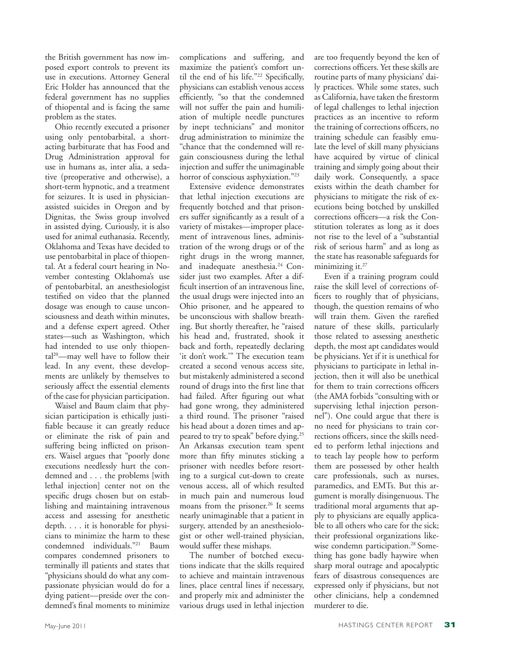the British government has now imposed export controls to prevent its use in executions. Attorney General Eric Holder has announced that the federal government has no supplies of thiopental and is facing the same problem as the states.

Ohio recently executed a prisoner using only pentobarbital, a shortacting barbiturate that has Food and Drug Administration approval for use in humans as, inter alia, a sedative (preoperative and otherwise), a short-term hypnotic, and a treatment for seizures. It is used in physicianassisted suicides in Oregon and by Dignitas, the Swiss group involved in assisted dying. Curiously, it is also used for animal euthanasia. Recently, Oklahoma and Texas have decided to use pentobarbital in place of thiopental. At a federal court hearing in November contesting Oklahoma's use of pentobarbital, an anesthesiologist testified on video that the planned dosage was enough to cause unconsciousness and death within minutes, and a defense expert agreed. Other states—such as Washington, which had intended to use only thiopental<sup>20</sup>—may well have to follow their lead. In any event, these developments are unlikely by themselves to seriously affect the essential elements of the case for physician participation.

Waisel and Baum claim that physician participation is ethically justifiable because it can greatly reduce or eliminate the risk of pain and suffering being inflicted on prisoners. Waisel argues that "poorly done executions needlessly hurt the condemned and . . . the problems [with lethal injection] center not on the specific drugs chosen but on establishing and maintaining intravenous access and assessing for anesthetic depth. . . . it is honorable for physicians to minimize the harm to these condemned individuals."21 Baum compares condemned prisoners to terminally ill patients and states that "physicians should do what any compassionate physician would do for a dying patient—preside over the condemned's final moments to minimize

complications and suffering, and maximize the patient's comfort until the end of his life."22 Specifically, physicians can establish venous access efficiently, "so that the condemned will not suffer the pain and humiliation of multiple needle punctures by inept technicians" and monitor drug administration to minimize the "chance that the condemned will regain consciousness during the lethal injection and suffer the unimaginable horror of conscious asphyxiation."<sup>23</sup>

Extensive evidence demonstrates that lethal injection executions are frequently botched and that prisoners suffer significantly as a result of a variety of mistakes—improper placement of intravenous lines, administration of the wrong drugs or of the right drugs in the wrong manner, and inadequate anesthesia.24 Consider just two examples. After a difficult insertion of an intravenous line, the usual drugs were injected into an Ohio prisoner, and he appeared to be unconscious with shallow breathing. But shortly thereafter, he "raised his head and, frustrated, shook it back and forth, repeatedly declaring 'it don't work.'" The execution team created a second venous access site, but mistakenly administered a second round of drugs into the first line that had failed. After figuring out what had gone wrong, they administered a third round. The prisoner "raised his head about a dozen times and appeared to try to speak" before dying.25 An Arkansas execution team spent more than fifty minutes sticking a prisoner with needles before resorting to a surgical cut-down to create venous access, all of which resulted in much pain and numerous loud moans from the prisoner.<sup>26</sup> It seems nearly unimaginable that a patient in surgery, attended by an anesthesiologist or other well-trained physician, would suffer these mishaps.

The number of botched executions indicate that the skills required to achieve and maintain intravenous lines, place central lines if necessary, and properly mix and administer the various drugs used in lethal injection

are too frequently beyond the ken of corrections officers. Yet these skills are routine parts of many physicians' daily practices. While some states, such as California, have taken the firestorm of legal challenges to lethal injection practices as an incentive to reform the training of corrections officers, no training schedule can feasibly emulate the level of skill many physicians have acquired by virtue of clinical training and simply going about their daily work. Consequently, a space exists within the death chamber for physicians to mitigate the risk of executions being botched by unskilled corrections officers—a risk the Constitution tolerates as long as it does not rise to the level of a "substantial risk of serious harm" and as long as the state has reasonable safeguards for minimizing it.<sup>27</sup>

Even if a training program could raise the skill level of corrections officers to roughly that of physicians, though, the question remains of who will train them. Given the rarefied nature of these skills, particularly those related to assessing anesthetic depth, the most apt candidates would be physicians. Yet if it is unethical for physicians to participate in lethal injection, then it will also be unethical for them to train corrections officers (the AMA forbids "consulting with or supervising lethal injection personnel"). One could argue that there is no need for physicians to train corrections officers, since the skills needed to perform lethal injections and to teach lay people how to perform them are possessed by other health care professionals, such as nurses, paramedics, and EMTs. But this argument is morally disingenuous. The traditional moral arguments that apply to physicians are equally applicable to all others who care for the sick; their professional organizations likewise condemn participation.<sup>28</sup> Something has gone badly haywire when sharp moral outrage and apocalyptic fears of disastrous consequences are expressed only if physicians, but not other clinicians, help a condemned murderer to die.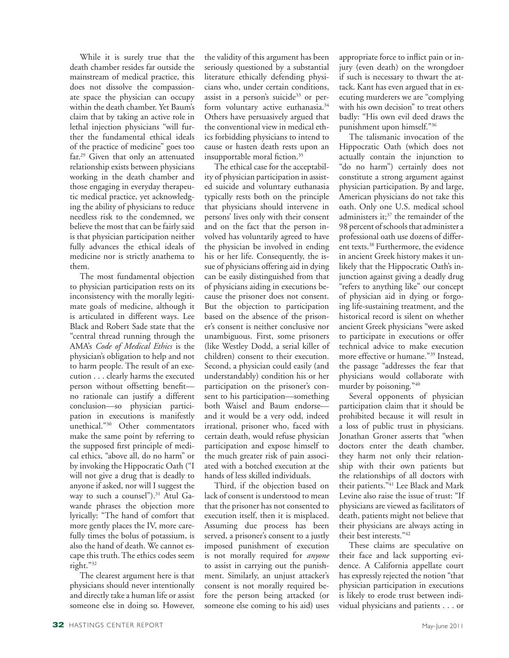While it is surely true that the death chamber resides far outside the mainstream of medical practice, this does not dissolve the compassionate space the physician can occupy within the death chamber. Yet Baum's claim that by taking an active role in lethal injection physicians "will further the fundamental ethical ideals of the practice of medicine" goes too far.29 Given that only an attenuated relationship exists between physicians working in the death chamber and those engaging in everyday therapeutic medical practice, yet acknowledging the ability of physicians to reduce needless risk to the condemned, we believe the most that can be fairly said is that physician participation neither fully advances the ethical ideals of medicine nor is strictly anathema to them.

The most fundamental objection to physician participation rests on its inconsistency with the morally legitimate goals of medicine, although it is articulated in different ways. Lee Black and Robert Sade state that the "central thread running through the AMA's *Code of Medical Ethics* is the physician's obligation to help and not to harm people. The result of an execution . . . clearly harms the executed person without offsetting benefit no rationale can justify a different conclusion—so physician participation in executions is manifestly unethical."30 Other commentators make the same point by referring to the supposed first principle of medical ethics, "above all, do no harm" or by invoking the Hippocratic Oath ("I will not give a drug that is deadly to anyone if asked, nor will I suggest the way to such a counsel").<sup>31</sup> Atul Gawande phrases the objection more lyrically: "The hand of comfort that more gently places the IV, more carefully times the bolus of potassium, is also the hand of death. We cannot escape this truth.The ethics codes seem right."32

The clearest argument here is that physicians should never intentionally and directly take a human life or assist someone else in doing so. However,

the validity of this argument has been seriously questioned by a substantial literature ethically defending physicians who, under certain conditions, assist in a person's suicide<sup>33</sup> or perform voluntary active euthanasia.<sup>34</sup> Others have persuasively argued that the conventional view in medical ethics forbidding physicians to intend to cause or hasten death rests upon an insupportable moral fiction.35

The ethical case for the acceptability of physician participation in assisted suicide and voluntary euthanasia typically rests both on the principle that physicians should intervene in persons' lives only with their consent and on the fact that the person involved has voluntarily agreed to have the physician be involved in ending his or her life. Consequently, the issue of physicians offering aid in dying can be easily distinguished from that of physicians aiding in executions because the prisoner does not consent. But the objection to participation based on the absence of the prisoner's consent is neither conclusive nor unambiguous. First, some prisoners (like Westley Dodd, a serial killer of children) consent to their execution. Second, a physician could easily (and understandably) condition his or her participation on the prisoner's consent to his participation—something both Waisel and Baum endorse and it would be a very odd, indeed irrational, prisoner who, faced with certain death, would refuse physician participation and expose himself to the much greater risk of pain associated with a botched execution at the hands of less skilled individuals.

Third, if the objection based on lack of consent is understood to mean that the prisoner has not consented to execution itself, then it is misplaced. Assuming due process has been served, a prisoner's consent to a justly imposed punishment of execution is not morally required for *anyone*  to assist in carrying out the punishment. Similarly, an unjust attacker's consent is not morally required before the person being attacked (or someone else coming to his aid) uses

appropriate force to inflict pain or injury (even death) on the wrongdoer if such is necessary to thwart the attack. Kant has even argued that in executing murderers we are "complying with his own decision" to treat others badly: "His own evil deed draws the punishment upon himself."36

The talismanic invocation of the Hippocratic Oath (which does not actually contain the injunction to "do no harm") certainly does not constitute a strong argument against physician participation. By and large, American physicians do not take this oath. Only one U.S. medical school administers it;<sup>37</sup> the remainder of the 98 percent of schools that administer a professional oath use dozens of different texts.38 Furthermore, the evidence in ancient Greek history makes it unlikely that the Hippocratic Oath's injunction against giving a deadly drug "refers to anything like" our concept of physician aid in dying or forgoing life-sustaining treatment, and the historical record is silent on whether ancient Greek physicians "were asked to participate in executions or offer technical advice to make execution more effective or humane."39 Instead, the passage "addresses the fear that physicians would collaborate with murder by poisoning."40

Several opponents of physician participation claim that it should be prohibited because it will result in a loss of public trust in physicians. Jonathan Groner asserts that "when doctors enter the death chamber, they harm not only their relationship with their own patients but the relationships of all doctors with their patients."<sup>41</sup> Lee Black and Mark Levine also raise the issue of trust: "If physicians are viewed as facilitators of death, patients might not believe that their physicians are always acting in their best interests."42

These claims are speculative on their face and lack supporting evidence. A California appellate court has expressly rejected the notion "that physician participation in executions is likely to erode trust between individual physicians and patients . . . or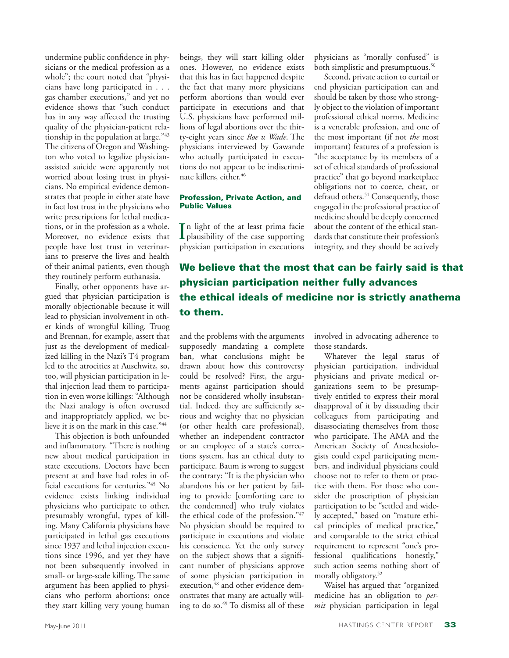undermine public confidence in physicians or the medical profession as a whole"; the court noted that "physicians have long participated in . . . gas chamber executions," and yet no evidence shows that "such conduct has in any way affected the trusting quality of the physician-patient relationship in the population at large."43 The citizens of Oregon and Washington who voted to legalize physicianassisted suicide were apparently not worried about losing trust in physicians. No empirical evidence demonstrates that people in either state have in fact lost trust in the physicians who write prescriptions for lethal medications, or in the profession as a whole. Moreover, no evidence exists that people have lost trust in veterinarians to preserve the lives and health of their animal patients, even though they routinely perform euthanasia.

Finally, other opponents have argued that physician participation is morally objectionable because it will lead to physician involvement in other kinds of wrongful killing. Truog and Brennan, for example, assert that just as the development of medicalized killing in the Nazi's T4 program led to the atrocities at Auschwitz, so, too, will physician participation in lethal injection lead them to participation in even worse killings: "Although the Nazi analogy is often overused and inappropriately applied, we believe it is on the mark in this case."44

This objection is both unfounded and inflammatory. "There is nothing new about medical participation in state executions. Doctors have been present at and have had roles in official executions for centuries."45 No evidence exists linking individual physicians who participate to other, presumably wrongful, types of killing. Many California physicians have participated in lethal gas executions since 1937 and lethal injection executions since 1996, and yet they have not been subsequently involved in small- or large-scale killing. The same argument has been applied to physicians who perform abortions: once they start killing very young human

the fact that many more physicians perform abortions than would ever participate in executions and that U.S. physicians have performed millions of legal abortions over the thirty-eight years since *Roe v. Wade*. The physicians interviewed by Gawande who actually participated in executions do not appear to be indiscriminate killers, either.<sup>46</sup> Profession, Private Action, and Public Values

In light of the at least prima facie<br>plausibility of the case supporting n light of the at least prima facie physician participation in executions

beings, they will start killing older ones. However, no evidence exists that this has in fact happened despite physicians as "morally confused" is both simplistic and presumptuous.<sup>50</sup>

Second, private action to curtail or end physician participation can and should be taken by those who strongly object to the violation of important professional ethical norms. Medicine is a venerable profession, and one of the most important (if not *the* most important) features of a profession is "the acceptance by its members of a set of ethical standards of professional practice" that go beyond marketplace obligations not to coerce, cheat, or defraud others.<sup>51</sup> Consequently, those engaged in the professional practice of medicine should be deeply concerned about the content of the ethical standards that constitute their profession's integrity, and they should be actively

## We believe that the most that can be fairly said is that physician participation neither fully advances the ethical ideals of medicine nor is strictly anathema to them.

and the problems with the arguments supposedly mandating a complete ban, what conclusions might be drawn about how this controversy could be resolved? First, the arguments against participation should not be considered wholly insubstantial. Indeed, they are sufficiently serious and weighty that no physician (or other health care professional), whether an independent contractor or an employee of a state's corrections system, has an ethical duty to participate. Baum is wrong to suggest the contrary: "It is the physician who abandons his or her patient by failing to provide [comforting care to the condemned] who truly violates the ethical code of the profession."47 No physician should be required to participate in executions and violate his conscience. Yet the only survey on the subject shows that a significant number of physicians approve of some physician participation in execution,<sup>48</sup> and other evidence demonstrates that many are actually willing to do so.<sup>49</sup> To dismiss all of these involved in advocating adherence to those standards.

Whatever the legal status of physician participation, individual physicians and private medical organizations seem to be presumptively entitled to express their moral disapproval of it by dissuading their colleagues from participating and disassociating themselves from those who participate. The AMA and the American Society of Anesthesiologists could expel participating members, and individual physicians could choose not to refer to them or practice with them. For those who consider the proscription of physician participation to be "settled and widely accepted," based on "mature ethical principles of medical practice," and comparable to the strict ethical requirement to represent "one's professional qualifications honestly," such action seems nothing short of morally obligatory.<sup>52</sup>

Waisel has argued that "organized medicine has an obligation to *permit* physician participation in legal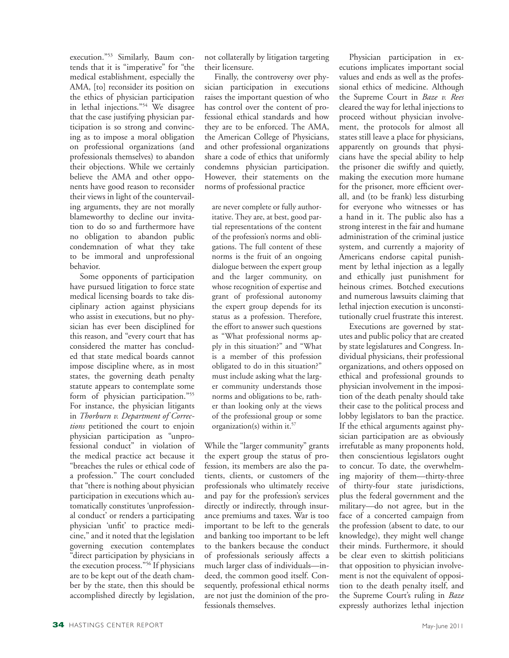execution."53 Similarly, Baum contends that it is "imperative" for "the medical establishment, especially the AMA, [to] reconsider its position on the ethics of physician participation in lethal injections."54 We disagree that the case justifying physician participation is so strong and convincing as to impose a moral obligation on professional organizations (and professionals themselves) to abandon their objections. While we certainly believe the AMA and other opponents have good reason to reconsider their views in light of the countervailing arguments, they are not morally blameworthy to decline our invitation to do so and furthermore have no obligation to abandon public condemnation of what they take to be immoral and unprofessional behavior.

Some opponents of participation have pursued litigation to force state medical licensing boards to take disciplinary action against physicians who assist in executions, but no physician has ever been disciplined for this reason, and "every court that has considered the matter has concluded that state medical boards cannot impose discipline where, as in most states, the governing death penalty statute appears to contemplate some form of physician participation."55 For instance, the physician litigants in *Thorburn v. Department of Corrections* petitioned the court to enjoin physician participation as "unprofessional conduct" in violation of the medical practice act because it "breaches the rules or ethical code of a profession." The court concluded that "there is nothing about physician participation in executions which automatically constitutes 'unprofessional conduct' or renders a participating physician 'unfit' to practice medicine," and it noted that the legislation governing execution contemplates "direct participation by physicians in the execution process."56 If physicians are to be kept out of the death chamber by the state, then this should be accomplished directly by legislation,

not collaterally by litigation targeting their licensure.

Finally, the controversy over physician participation in executions raises the important question of who has control over the content of professional ethical standards and how they are to be enforced. The AMA, the American College of Physicians, and other professional organizations share a code of ethics that uniformly condemns physician participation. However, their statements on the norms of professional practice

are never complete or fully authoritative. They are, at best, good partial representations of the content of the profession's norms and obligations. The full content of these norms is the fruit of an ongoing dialogue between the expert group and the larger community, on whose recognition of expertise and grant of professional autonomy the expert group depends for its status as a profession. Therefore, the effort to answer such questions as "What professional norms apply in this situation?" and "What is a member of this profession obligated to do in this situation?" must include asking what the larger community understands those norms and obligations to be, rather than looking only at the views of the professional group or some organization(s) within it.<sup>57</sup>

While the "larger community" grants the expert group the status of profession, its members are also the patients, clients, or customers of the professionals who ultimately receive and pay for the profession's services directly or indirectly, through insurance premiums and taxes. War is too important to be left to the generals and banking too important to be left to the bankers because the conduct of professionals seriously affects a much larger class of individuals—indeed, the common good itself. Consequently, professional ethical norms are not just the dominion of the professionals themselves.

Physician participation in executions implicates important social values and ends as well as the professional ethics of medicine. Although the Supreme Court in *Baze v. Rees*  cleared the way for lethal injections to proceed without physician involvement, the protocols for almost all states still leave a place for physicians, apparently on grounds that physicians have the special ability to help the prisoner die swiftly and quietly, making the execution more humane for the prisoner, more efficient overall, and (to be frank) less disturbing for everyone who witnesses or has a hand in it. The public also has a strong interest in the fair and humane administration of the criminal justice system, and currently a majority of Americans endorse capital punishment by lethal injection as a legally and ethically just punishment for heinous crimes. Botched executions and numerous lawsuits claiming that lethal injection execution is unconstitutionally cruel frustrate this interest.

Executions are governed by statutes and public policy that are created by state legislatures and Congress. Individual physicians, their professional organizations, and others opposed on ethical and professional grounds to physician involvement in the imposition of the death penalty should take their case to the political process and lobby legislators to ban the practice. If the ethical arguments against physician participation are as obviously irrefutable as many proponents hold, then conscientious legislators ought to concur. To date, the overwhelming majority of them—thirty-three of thirty-four state jurisdictions, plus the federal government and the military—do not agree, but in the face of a concerted campaign from the profession (absent to date, to our knowledge), they might well change their minds. Furthermore, it should be clear even to skittish politicians that opposition to physician involvement is not the equivalent of opposition to the death penalty itself, and the Supreme Court's ruling in *Baze*  expressly authorizes lethal injection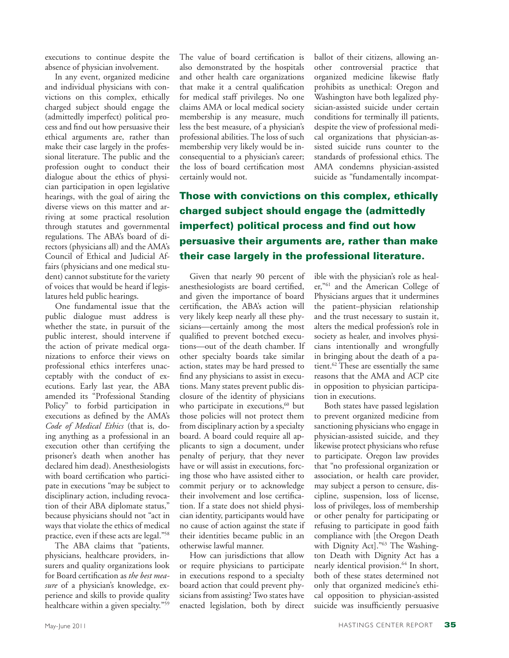executions to continue despite the absence of physician involvement.

In any event, organized medicine and individual physicians with convictions on this complex, ethically charged subject should engage the (admittedly imperfect) political process and find out how persuasive their ethical arguments are, rather than make their case largely in the professional literature. The public and the profession ought to conduct their dialogue about the ethics of physician participation in open legislative hearings, with the goal of airing the diverse views on this matter and arriving at some practical resolution through statutes and governmental regulations. The ABA's board of directors (physicians all) and the AMA's Council of Ethical and Judicial Affairs (physicians and one medical student) cannot substitute for the variety of voices that would be heard if legislatures held public hearings.

One fundamental issue that the public dialogue must address is whether the state, in pursuit of the public interest, should intervene if the action of private medical organizations to enforce their views on professional ethics interferes unacceptably with the conduct of executions. Early last year, the ABA amended its "Professional Standing Policy" to forbid participation in executions as defined by the AMA's *Code of Medical Ethics* (that is, doing anything as a professional in an execution other than certifying the prisoner's death when another has declared him dead). Anesthesiologists with board certification who participate in executions "may be subject to disciplinary action, including revocation of their ABA diplomate status," because physicians should not "act in ways that violate the ethics of medical practice, even if these acts are legal."58

The ABA claims that "patients, physicians, healthcare providers, insurers and quality organizations look for Board certification as *the best measure* of a physician's knowledge, experience and skills to provide quality healthcare within a given specialty."59 The value of board certification is also demonstrated by the hospitals and other health care organizations that make it a central qualification for medical staff privileges. No one claims AMA or local medical society membership is any measure, much less the best measure, of a physician's professional abilities. The loss of such membership very likely would be inconsequential to a physician's career; the loss of board certification most certainly would not.

ballot of their citizens, allowing another controversial practice that organized medicine likewise flatly prohibits as unethical: Oregon and Washington have both legalized physician-assisted suicide under certain conditions for terminally ill patients, despite the view of professional medical organizations that physician-assisted suicide runs counter to the standards of professional ethics. The AMA condemns physician-assisted suicide as "fundamentally incompat-

Those with convictions on this complex, ethically charged subject should engage the (admittedly imperfect) political process and find out how persuasive their arguments are, rather than make their case largely in the professional literature.

Given that nearly 90 percent of anesthesiologists are board certified, and given the importance of board certification, the ABA's action will very likely keep nearly all these physicians—certainly among the most qualified to prevent botched executions—out of the death chamber. If other specialty boards take similar action, states may be hard pressed to find any physicians to assist in executions. Many states prevent public disclosure of the identity of physicians who participate in executions,<sup>60</sup> but those policies will not protect them from disciplinary action by a specialty board. A board could require all applicants to sign a document, under penalty of perjury, that they never have or will assist in executions, forcing those who have assisted either to commit perjury or to acknowledge their involvement and lose certification. If a state does not shield physician identity, participants would have no cause of action against the state if their identities became public in an otherwise lawful manner.

How can jurisdictions that allow or require physicians to participate in executions respond to a specialty board action that could prevent physicians from assisting? Two states have enacted legislation, both by direct ible with the physician's role as healer,"61 and the American College of Physicians argues that it undermines the patient–physician relationship and the trust necessary to sustain it, alters the medical profession's role in society as healer, and involves physicians intentionally and wrongfully in bringing about the death of a patient.62 These are essentially the same reasons that the AMA and ACP cite in opposition to physician participation in executions.

Both states have passed legislation to prevent organized medicine from sanctioning physicians who engage in physician-assisted suicide, and they likewise protect physicians who refuse to participate. Oregon law provides that "no professional organization or association, or health care provider, may subject a person to censure, discipline, suspension, loss of license, loss of privileges, loss of membership or other penalty for participating or refusing to participate in good faith compliance with [the Oregon Death with Dignity Act]."63 The Washington Death with Dignity Act has a nearly identical provision.<sup>64</sup> In short, both of these states determined not only that organized medicine's ethical opposition to physician-assisted suicide was insufficiently persuasive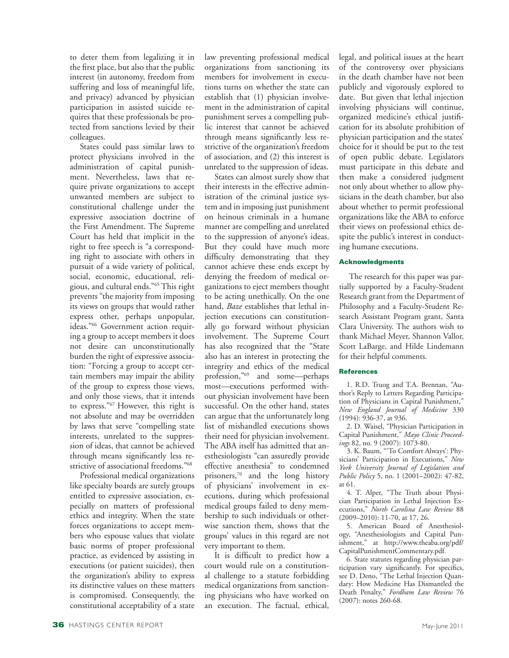to deter them from legalizing it in the first place, but also that the public interest (in autonomy, freedom from suffering and loss of meaningful life, and privacy) advanced by physician participation in assisted suicide requires that these professionals be protected from sanctions levied by their colleagues.

States could pass similar laws to protect physicians involved in the administration of capital punishment. Nevertheless, laws that require private organizations to accept unwanted members are subject to constitutional challenge under the expressive association doctrine of the First Amendment. The Supreme Court has held that implicit in the right to free speech is "a corresponding right to associate with others in pursuit of a wide variety of political, social, economic, educational, religious, and cultural ends."65 This right prevents "the majority from imposing its views on groups that would rather express other, perhaps unpopular, ideas."66 Government action requiring a group to accept members it does not desire can unconstitutionally burden the right of expressive association: "Forcing a group to accept certain members may impair the ability of the group to express those views, and only those views, that it intends to express."67 However, this right is not absolute and may be overridden by laws that serve "compelling state interests, unrelated to the suppression of ideas, that cannot be achieved through means significantly less restrictive of associational freedoms."68

Professional medical organizations like specialty boards are surely groups entitled to expressive association, especially on matters of professional ethics and integrity. When the state forces organizations to accept members who espouse values that violate basic norms of proper professional practice, as evidenced by assisting in executions (or patient suicides), then the organization's ability to express its distinctive values on these matters is compromised. Consequently, the constitutional acceptability of a state

law preventing professional medical organizations from sanctioning its members for involvement in executions turns on whether the state can establish that (1) physician involvement in the administration of capital punishment serves a compelling public interest that cannot be achieved through means significantly less restrictive of the organization's freedom of association, and (2) this interest is unrelated to the suppression of ideas.

States can almost surely show that their interests in the effective administration of the criminal justice system and in imposing just punishment on heinous criminals in a humane manner are compelling and unrelated to the suppression of anyone's ideas. But they could have much more difficulty demonstrating that they cannot achieve these ends except by denying the freedom of medical organizations to eject members thought to be acting unethically. On the one hand, *Baze* establishes that lethal injection executions can constitutionally go forward without physician involvement. The Supreme Court has also recognized that the "State also has an interest in protecting the integrity and ethics of the medical profession,"69 and some—perhaps most—executions performed without physician involvement have been successful. On the other hand, states can argue that the unfortunately long list of mishandled executions shows their need for physician involvement. The ABA itself has admitted that anesthesiologists "can assuredly provide effective anesthesia" to condemned prisoners,70 and the long history of physicians' involvement in executions, during which professional medical groups failed to deny membership to such individuals or otherwise sanction them, shows that the groups' values in this regard are not very important to them.

It is difficult to predict how a court would rule on a constitutional challenge to a statute forbidding medical organizations from sanctioning physicians who have worked on an execution. The factual, ethical,

legal, and political issues at the heart of the controversy over physicians in the death chamber have not been publicly and vigorously explored to date. But given that lethal injection involving physicians will continue, organized medicine's ethical justification for its absolute prohibition of physician participation and the states' choice for it should be put to the test of open public debate. Legislators must participate in this debate and then make a considered judgment not only about whether to allow physicians in the death chamber, but also about whether to permit professional organizations like the ABA to enforce their views on professional ethics despite the public's interest in conducting humane executions.

#### Acknowledgments

The research for this paper was partially supported by a Faculty-Student Research grant from the Department of Philosophy and a Faculty-Student Research Assistant Program grant, Santa Clara University. The authors wish to thank Michael Meyer, Shannon Vallor, Scott LaBarge, and Hilde Lindemann for their helpful comments.

#### **References**

1. R.D. Truog and T.A. Brennan, "Author's Reply to Letters Regarding Participation of Physicians in Capital Punishment," *New England Journal of Medicine* 330 (1994): 936-37, at 936.

2. D. Waisel, "Physician Participation in Capital Punishment," *Mayo Clinic Proceedings* 82, no. 9 (2007): 1073-80.

3. K. Baum, "'To Comfort Always': Physicians' Participation in Executions," *New York University Journal of Legislation and Public Policy* 5, no. 1 (2001–2002): 47-82, at 61.

4. T. Alper, "The Truth about Physician Participation in Lethal Injection Executions," *North Carolina Law Review* 88 (2009–2010): 11-70, at 17, 26.

5. American Board of Anesthesiology, "Anesthesiologists and Capital Punishment," at http://www.theaba.org/pdf/ CapitalPunishmentCommentary.pdf.

6. State statutes regarding physician participation vary significantly. For specifics, see D. Deno, "The Lethal Injection Quandary: How Medicine Has Dismantled the Death Penalty," *Fordham Law Review* 76 (2007): notes 260-68.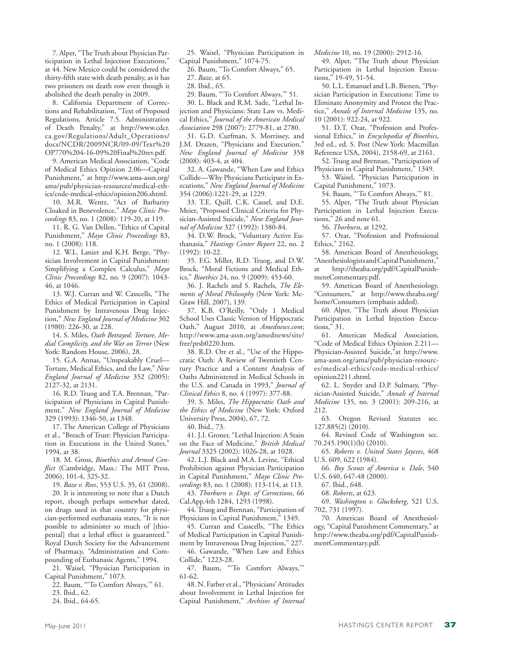7. Alper, "TheTruth about Physician Participation in Lethal Injection Executions," at 44. New Mexico could be considered the thirty-fifth state with death penalty, as it has two prisoners on death row even though it abolished the death penalty in 2009.

8. California Department of Corrections and Rehabilitation, "Text of Proposed Regulations, Article 7.5. Administration of Death Penalty," at http://www.cdcr. ca.gov/Regulations/Adult\_Operations/ docs/NCDR/2009NCR/09-09/Text%20 OP770%204-16-09%20Final%20rev.pdf.

9. American Medical Association, "Code of Medical Ethics Opinion 2.06—Capital Punishment," at http://www.ama-assn.org/ ama/pub/physician-resources/medical-ethics/code-medical-ethics/opinion206.shtml.

10. M.R. Wentz, "Act of Barbarity Cloaked in Benevolence," *Mayo Clinic Proceedings* 83, no. 1 (2008): 119-20, at 119.

11. R. G. Van Dellen, "Ethics of Capital Punishment," *Mayo Clinic Proceedings* 83, no. 1 (2008): 118.

12. W.L. Lanier and K.H. Berge, "Physician Involvement in Capital Punishment: Simplifying a Complex Calculus," *Mayo Clinic Proceedings* 82, no. 9 (2007): 1043- 46, at 1046.

13. W.J. Curran and W. Casscells, "The Ethics of Medical Participation in Capital Punishment by Intravenous Drug Injection," *New England Journal of Medicine* 302 (1980): 226-30, at 228.

14. S. Miles, *Oath Betrayed: Torture, Medial Complicity, and the War on Terror* (New York: Random House, 2006), 28.

15. G.A. Annas, "Unspeakably Cruel— Torture, Medical Ethics, and the Law," *New England Journal of Medicine* 352 (2005): 2127-32, at 2131.

16. R.D. Truog and T.A. Brennan, "Participation of Physicians in Capital Punishment," *New England Journal of Medicine*  329 (1993): 1346-50, at 1348.

17. The American College of Physicians et al., "Breach of Trust: Physician Participation in Executions in the United States," 1994, at 38.

18. M. Gross, *Bioethics and Armed Conflict* (Cambridge, Mass.: The MIT Press, 2006), 101-4, 325-32.

19. *Baze v. Rees*, 553 U.S. 35, 61 (2008). 20. It is interesting to note that a Dutch

report, though perhaps somewhat dated, on drugs used in that country for physician-performed euthanasia states, "It is not possible to administer so much of [thiopental] that a lethal effect is guaranteed." Royal Dutch Society for the Advancement of Pharmacy, "Administration and Compounding of Euthanasic Agents," 1994.

21. Waisel, "Physician Participation in Capital Punishment," 1073.

22. Baum, "'To Comfort Always,'" 61.

23. Ibid., 62.

24. Ibid., 64-65.

25. Waisel, "Physician Participation in Capital Punishment," 1074-75.

26. Baum, "To Comfort Always," 65.

27. *Baze*, at 65.

28. Ibid., 65.

29. Baum, "'To Comfort Always,'" 51.

30. L. Black and R.M. Sade, "Lethal Injection and Physicians: State Law vs. Medical Ethics," *Journal of the American Medical Association* 298 (2007): 2779-81, at 2780.

31. G.D. Curfman, S. Morrissey, and J.M. Drazen, "Physicians and Execution," *New England Journal of Medicine* 358 (2008): 403-4, at 404.

32. A. Gawande, "When Law and Ethics Collide—Why Physicians Participate in Executions," *New England Journal of Medicine*  354 (2006):1221-29, at 1229.

33. T.E. Quill, C.K. Cassel, and D.E. Meier, "Proposed Clinical Criteria for Physician-Assisted Suicide," *New England Journal of Medicine* 327 (1992): 1380-84.

34. D.W. Brock, "Voluntary Active Euthanasia," *Hastings Center Report* 22, no. 2 (1992): 10-22.

35. F.G. Miller, R.D. Truog, and D.W. Brock, "Moral Fictions and Medical Ethics," *Bioethics* 24, no. 9 (2009): 453-60.

36. J. Rachels and S. Rachels, *The Elements of Moral Philosophy* (New York: Mc-Graw Hill, 2007), 139.

37. K.B. O'Reilly, "Only 1 Medical School Uses Classic Version of Hippocratic Oath," August 2010, at *Amednews.com*; http://www.ama-assn.org/amednews/site/ free/prsb0220.htm.

38. R.D. Orr et al., "Use of the Hippocratic Oath: A Review of Twentieth Century Practice and a Content Analysis of Oaths Administered in Medical Schools in the U.S. and Canada in 1993," *Journal of Clinical Ethics* 8, no. 4 (1997): 377-88.

39. S. Miles, *The Hippocratic Oath and the Ethics of Medicine* (New York: Oxford University Press, 2004), 67, 72.

40. Ibid., 73.

41. J.I. Groner, "Lethal Injection: A Stain on the Face of Medicine," *British Medical Journal* 3325 (2002): 1026-28, at 1028.

42. L.J. Black and M.A. Levine, "Ethical Prohibition against Physician Participation in Capital Punishment," *Mayo Clinic Proceedings* 83, no. 1 (2008): 113-114, at 113.

43. *Thorburn v. Dept. of Corrections*, 66 Cal.App.4th 1284, 1293 (1998).

44. Truog and Brennan, "Participation of Physicians in Capital Punishment," 1349.

45. Curran and Casscells, "The Ethics of Medical Participation in Capital Punishment by Intravenous Drug Injection," 227.

46. Gawande, "When Law and Ethics Collide," 1223-28.

47. Baum, "'To Comfort Always,'" 61-62.

48. N. Farber et al., "Physicians' Attitudes about Involvement in Lethal Injection for Capital Punishment," *Archives of Internal*  *Medicine* 10, no. 19 (2000): 2912-16.

49. Alper, "The Truth about Physician Participation in Lethal Injection Executions," 19-49, 51-54.

50. L.L. Emanuel and L.B. Bienen, "Physician Participation in Executions: Time to Eliminate Anonymity and Protest the Practice," *Annals of Internal Medicine* 135, no. 10 (2001): 922-24, at 922.

51. D.T. Ozar, "Profession and Professional Ethics," in *Encyclopedia of Bioethics*, 3rd ed., ed. S. Post (New York: Macmillan Reference USA, 2004), 2158-69, at 2161.

52. Truog and Brennan, "Participation of Physicians in Capital Punishment," 1349.

53. Waisel, "Physician Participation in Capital Punishment," 1073.

54. Baum, "'To Comfort Always,'" 81.

55. Alper, "The Truth about Physician Participation in Lethal Injection Executions," 26 and note 61.

56. *Thorburn*, at 1292.

57. Ozar, "Profession and Professional Ethics," 2162.

58. American Board of Anesthesiology, "Anesthesiologists and Capital Punishment,"

at http://theaba.org/pdf/CapitalPunishmentCommentary.pdf.

59. American Board of Anesthesiology, "Consumers," at http://www.theaba.org/ home/Consumers (emphasis added).

60. Alper, "The Truth about Physician Participation in Lethal Injection Executions," 31.

61. American Medical Association, "Code of Medical Ethics Opinion 2.211— Physician-Assisted Suicide,"at http://www. ama-assn.org/ama/pub/physician-resources/medical-ethics/code-medical-ethics/ opinion2211.shtml.

62. L. Snyder and D.P. Sulmasy, "Physician-Assisted Suicide," *Annals of Internal Medicine* 135, no. 3 (2001): 209-216, at 212.

63. Oregon Revised Statutes sec. 127.885(2) (2010).

64. Revised Code of Washington sec. 70.245.190(1)(b) (2010).

65. *Roberts v. United States Jaycees*, 468 U.S. 609, 622 (1984).

66. *Boy Scouts of America v. Dale*, 540 U.S. 640, 647-48 (2000).

67. Ibid., 648.

68. *Roberts*, at 623.

69. *Washington v. Glucksberg*, 521 U.S. 702, 731 (1997).

70. American Board of Anesthesiology, "Capital Punishment Commentary," at http://www.theaba.org/pdf/CapitalPunishmentCommentary.pdf.